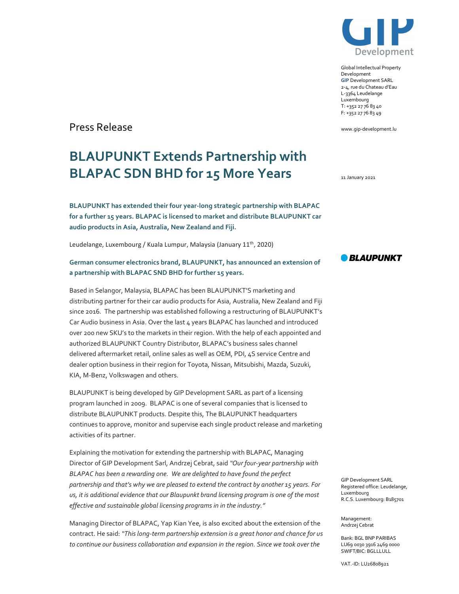

Global Intellectual Property Development GIP Development SARL 2-4, rue du Chateau d'Eau L-3364 Leudelange Luxembourg T: +352 27 76 83 40 F: +352 27 76 83 49

www.gip-development.lu

Press Release

# BLAUPUNKT Extends Partnership with BLAPAC SDN BHD for 15 More Years

BLAUPUNKT has extended their four year-long strategic partnership with BLAPAC for a further 15 years. BLAPAC is licensed to market and distribute BLAUPUNKT car audio products in Asia, Australia, New Zealand and Fiji.

Leudelange, Luxembourg / Kuala Lumpur, Malaysia (January 11<sup>th</sup>, 2020)

# German consumer electronics brand, BLAUPUNKT, has announced an extension of a partnership with BLAPAC SND BHD for further 15 years.

Based in Selangor, Malaysia, BLAPAC has been BLAUPUNKT'S marketing and distributing partner for their car audio products for Asia, Australia, New Zealand and Fiji since 2016. The partnership was established following a restructuring of BLAUPUNKT's Car Audio business in Asia. Over the last 4 years BLAPAC has launched and introduced over 200 new SKU's to the markets in their region. With the help of each appointed and authorized BLAUPUNKT Country Distributor, BLAPAC's business sales channel delivered aftermarket retail, online sales as well as OEM, PDI, 4S service Centre and dealer option business in their region for Toyota, Nissan, Mitsubishi, Mazda, Suzuki, KIA, M-Benz, Volkswagen and others.

BLAUPUNKT is being developed by GIP Development SARL as part of a licensing program launched in 2009. BLAPAC is one of several companies that is licensed to distribute BLAUPUNKT products. Despite this, The BLAUPUNKT headquarters continues to approve, monitor and supervise each single product release and marketing activities of its partner.

Explaining the motivation for extending the partnership with BLAPAC, Managing Director of GIP Development Sarl, Andrzej Cebrat, said "Our four-year partnership with BLAPAC has been a rewarding one. We are delighted to have found the perfect partnership and that's why we are pleased to extend the contract by another 15 years. For us, it is additional evidence that our Blaupunkt brand licensing program is one of the most effective and sustainable global licensing programs in in the industry."

Managing Director of BLAPAC, Yap Kian Yee, is also excited about the extension of the contract. He said: "This long-term partnership extension is a great honor and chance for us to continue our business collaboration and expansion in the region. Since we took over the

11 January 2021



GIP Development SARL Registered office: Leudelange, Luxembourg R.C.S. Luxembourg: B185701

Management: Andrzej Cebrat

Bank: BGL BNP PARIBAS LU69 0030 3916 2469 0000 SWIFT/BIC: BGLLLULL

VAT.-ID: LU26808921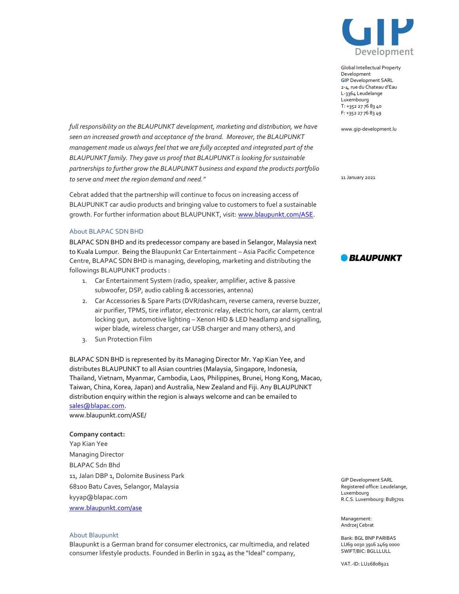

Global Intellectual Property Development GIP Development SARL 2-4, rue du Chateau d'Eau L-3364 Leudelange Luxembourg T: +352 27 76 83 40 F: +352 27 76 83 49

www.gip-development.lu

full responsibility on the BLAUPUNKT development, marketing and distribution, we have seen an increased growth and acceptance of the brand. Moreover, the BLAUPUNKT management made us always feel that we are fully accepted and integrated part of the BLAUPUNKT family. They gave us proof that BLAUPUNKT is looking for sustainable partnerships to further grow the BLAUPUNKT business and expand the products portfolio to serve and meet the region demand and need."

Cebrat added that the partnership will continue to focus on increasing access of BLAUPUNKT car audio products and bringing value to customers to fuel a sustainable growth. For further information about BLAUPUNKT, visit: www.blaupunkt.com/ASE.

### About BLAPAC SDN BHD

BLAPAC SDN BHD and its predecessor company are based in Selangor, Malaysia next to Kuala Lumpur. Being the Blaupunkt Car Entertainment – Asia Pacific Competence Centre, BLAPAC SDN BHD is managing, developing, marketing and distributing the followings BLAUPUNKT products :

- 1. Car Entertainment System (radio, speaker, amplifier, active & passive subwoofer, DSP, audio cabling & accessories, antenna)
- 2. Car Accessories & Spare Parts (DVR/dashcam, reverse camera, reverse buzzer, air purifier, TPMS, tire inflator, electronic relay, electric horn, car alarm, central locking gun, automotive lighting – Xenon HID & LED headlamp and signalling, wiper blade, wireless charger, car USB charger and many others), and
- 3. Sun Protection Film

BLAPAC SDN BHD is represented by its Managing Director Mr. Yap Kian Yee, and distributes BLAUPUNKT to all Asian countries (Malaysia, Singapore, Indonesia, Thailand, Vietnam, Myanmar, Cambodia, Laos, Philippines, Brunei, Hong Kong, Macao, Taiwan, China, Korea, Japan) and Australia, New Zealand and Fiji. Any BLAUPUNKT distribution enquiry within the region is always welcome and can be emailed to sales@blapac.com.

www.blaupunkt.com/ASE/

## Company contact:

Yap Kian Yee Managing Director BLAPAC Sdn Bhd 11, Jalan DBP 1, Dolomite Business Park 68100 Batu Caves, Selangor, Malaysia kyyap@blapac.com www.blaupunkt.com/ase

### About Blaupunkt

Blaupunkt is a German brand for consumer electronics, car multimedia, and related consumer lifestyle products. Founded in Berlin in 1924 as the "Ideal" company,

11 January 2021



GIP Development SARL Registered office: Leudelange, Luxembourg R.C.S. Luxembourg: B185701

Management: Andrzej Cebrat

Bank: BGL BNP PARIBAS LU69 0030 3916 2469 0000 SWIFT/BIC: BGLLLULL

VAT.-ID: LU26808921